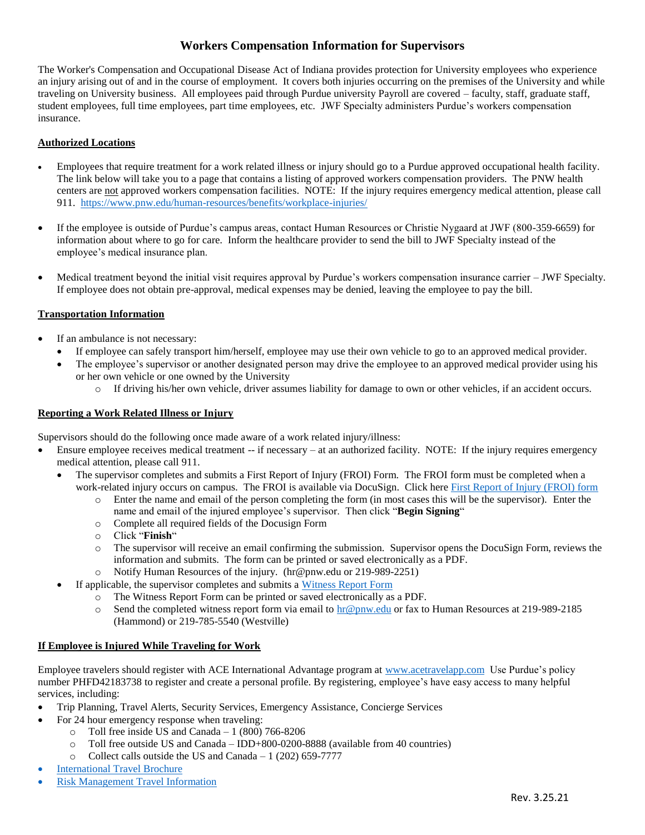# **Workers Compensation Information for Supervisors**

The Worker's Compensation and Occupational Disease Act of Indiana provides protection for University employees who experience an injury arising out of and in the course of employment. It covers both injuries occurring on the premises of the University and while traveling on University business. All employees paid through Purdue university Payroll are covered – faculty, staff, graduate staff, student employees, full time employees, part time employees, etc. JWF Specialty administers Purdue's workers compensation insurance.

### **Authorized Locations**

- Employees that require treatment for a work related illness or injury should go to a Purdue approved occupational health facility. The link below will take you to a page that contains a listing of approved workers compensation providers. The PNW health centers are not approved workers compensation facilities. NOTE: If the injury requires emergency medical attention, please call 911.<https://www.pnw.edu/human-resources/benefits/workplace-injuries/>
- If the employee is outside of Purdue's campus areas, contact Human Resources or Christie Nygaard at JWF (800-359-6659) for information about where to go for care. Inform the healthcare provider to send the bill to JWF Specialty instead of the employee's medical insurance plan.
- Medical treatment beyond the initial visit requires approval by Purdue's workers compensation insurance carrier JWF Specialty. If employee does not obtain pre-approval, medical expenses may be denied, leaving the employee to pay the bill.

### **Transportation Information**

- If an ambulance is not necessary:
	- If employee can safely transport him/herself, employee may use their own vehicle to go to an approved medical provider.
	- The employee's supervisor or another designated person may drive the employee to an approved medical provider using his or her own vehicle or one owned by the University
		- o If driving his/her own vehicle, driver assumes liability for damage to own or other vehicles, if an accident occurs.

### **Reporting a Work Related Illness or Injury**

Supervisors should do the following once made aware of a work related injury/illness:

- Ensure employee receives medical treatment -- if necessary at an authorized facility. NOTE: If the injury requires emergency medical attention, please call 911.
	- The supervisor completes and submits a First Report of Injury (FROI) Form. The FROI form must be completed when a work-related injury occurs on campus. The FROI is available via DocuSign. Click here [First Report of Injury \(FROI\) form](https://na2.docusign.net/Member/PowerFormSigning.aspx?PowerFormId=df88fae4-b626-4071-a635-e969d49d1566&env=na2&acct=9ad6adfd-6804-409b-91bc-173cbee909f9&v=2&_ga=2.211004757.1987824908.1616600679-1360054528.1588021318)
		- o Enter the name and email of the person completing the form (in most cases this will be the supervisor). Enter the name and email of the injured employee's supervisor. Then click "**Begin Signing**"
		- o Complete all required fields of the Docusign Form
		- o Click "**Finish**"
		- o The supervisor will receive an email confirming the submission. Supervisor opens the DocuSign Form, reviews the information and submits. The form can be printed or saved electronically as a PDF.
		- Notify Human Resources of the injury. (hr@pnw.edu or 219-989-2251)
	- If applicable, the supervisor completes and submits a [Witness Report Form](https://www.purdue.edu/hr/Benefits/WorkersComp/pdf/WC_Witness_Report_Form.pdf)
		- o The Witness Report Form can be printed or saved electronically as a PDF.
		- o Send the completed witness report form via email to [hr@pnw.edu](mailto:hr@pnw.edu) or fax to Human Resources at 219-989-2185 (Hammond) or 219-785-5540 (Westville)

### **If Employee is Injured While Traveling for Work**

Employee travelers should register with ACE International Advantage program at [www.acetravelapp.com](http://www.acetravelapp.com/) Use Purdue's policy number PHFD42183738 to register and create a personal profile. By registering, employee's have easy access to many helpful services, including:

- Trip Planning, Travel Alerts, Security Services, Emergency Assistance, Concierge Services
- For 24 hour emergency response when traveling:
	- $\circ$  Toll free inside US and Canada 1 (800) 766-8206
	- o Toll free outside US and Canada IDD+800-0200-8888 (available from 40 countries)
	- o Collect calls outside the US and Canada 1 (202) 659-7777
- [International Travel Brochure](https://www.purdue.edu/hr/Benefits/medical/pdf/pdf_international/International_Benefits_Summary.pdf)
- [Risk Management Travel Information](https://www.purdue.edu/business/risk_mgmt/International_Travel/index.html)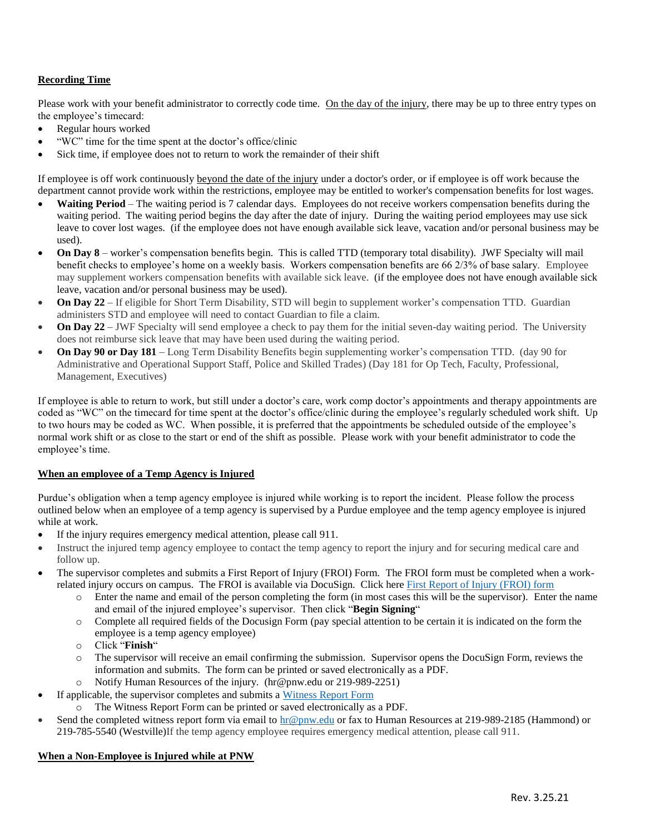## **Recording Time**

Please work with your benefit administrator to correctly code time. On the day of the injury, there may be up to three entry types on the employee's timecard:

- Regular hours worked
- "WC" time for the time spent at the doctor's office/clinic
- Sick time, if employee does not to return to work the remainder of their shift

If employee is off work continuously beyond the date of the injury under a doctor's order, or if employee is off work because the department cannot provide work within the restrictions, employee may be entitled to worker's compensation benefits for lost wages.

- **Waiting Period** The waiting period is 7 calendar days. Employees do not receive workers compensation benefits during the waiting period. The waiting period begins the day after the date of injury. During the waiting period employees may use sick leave to cover lost wages. (if the employee does not have enough available sick leave, vacation and/or personal business may be used).
- **On Day 8** worker's compensation benefits begin. This is called TTD (temporary total disability). JWF Specialty will mail benefit checks to employee's home on a weekly basis. Workers compensation benefits are 66 2/3% of base salary. Employee may supplement workers compensation benefits with available sick leave. (if the employee does not have enough available sick leave, vacation and/or personal business may be used).
- **On Day 22** If eligible for Short Term Disability, STD will begin to supplement worker's compensation TTD. Guardian administers STD and employee will need to contact Guardian to file a claim.
- **On Day 22** JWF Specialty will send employee a check to pay them for the initial seven-day waiting period. The University does not reimburse sick leave that may have been used during the waiting period.
- **On Day 90 or Day 181** Long Term Disability Benefits begin supplementing worker's compensation TTD. (day 90 for Administrative and Operational Support Staff, Police and Skilled Trades) (Day 181 for Op Tech, Faculty, Professional, Management, Executives)

If employee is able to return to work, but still under a doctor's care, work comp doctor's appointments and therapy appointments are coded as "WC" on the timecard for time spent at the doctor's office/clinic during the employee's regularly scheduled work shift. Up to two hours may be coded as WC. When possible, it is preferred that the appointments be scheduled outside of the employee's normal work shift or as close to the start or end of the shift as possible. Please work with your benefit administrator to code the employee's time.

### **When an employee of a Temp Agency is Injured**

Purdue's obligation when a temp agency employee is injured while working is to report the incident. Please follow the process outlined below when an employee of a temp agency is supervised by a Purdue employee and the temp agency employee is injured while at work.

- If the injury requires emergency medical attention, please call 911.
- Instruct the injured temp agency employee to contact the temp agency to report the injury and for securing medical care and follow up.
- The supervisor completes and submits a First Report of Injury (FROI) Form. The FROI form must be completed when a workrelated injury occurs on campus. The FROI is available via DocuSign. Click here [First Report of Injury \(FROI\) form](https://na2.docusign.net/Member/PowerFormSigning.aspx?PowerFormId=df88fae4-b626-4071-a635-e969d49d1566&env=na2&acct=9ad6adfd-6804-409b-91bc-173cbee909f9&v=2&_ga=2.211004757.1987824908.1616600679-1360054528.1588021318)
	- o Enter the name and email of the person completing the form (in most cases this will be the supervisor). Enter the name and email of the injured employee's supervisor. Then click "**Begin Signing**"
	- o Complete all required fields of the Docusign Form (pay special attention to be certain it is indicated on the form the employee is a temp agency employee)
	- o Click "**Finish**"
	- o The supervisor will receive an email confirming the submission. Supervisor opens the DocuSign Form, reviews the information and submits. The form can be printed or saved electronically as a PDF.
		- Notify Human Resources of the injury. (hr@pnw.edu or 219-989-2251)
- If applicable, the supervisor completes and submits a [Witness Report Form](https://www.purdue.edu/hr/Benefits/WorkersComp/pdf/WC_Witness_Report_Form.pdf)
	- The Witness Report Form can be printed or saved electronically as a PDF.
- Send the completed witness report form via email to  $hr@pnw.edu$  or fax to Human Resources at 219-989-2185 (Hammond) or 219-785-5540 (Westville)If the temp agency employee requires emergency medical attention, please call 911.

### **When a Non-Employee is Injured while at PNW**